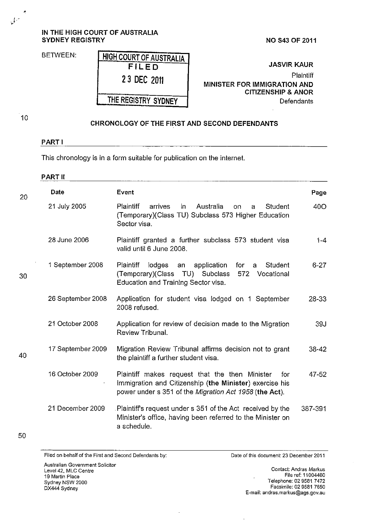## **IN THE HIGH COURT OF AUSTRALIA SYDNEY REGISTRY NO S43 OF 2011**

BETWEEN:

**JASVIR KAUR Plaintiff MINISTER FOR IMMIGRATION AND CITIZENSHIP & ANOR Defendants** 

10

*)-*

 $\overline{\phantom{a}}$ 

## **CHRONOLOGY OF THE FIRST AND SECOND DEFENDANTS**

## **PART I**

This chronology is in a form suitable for publication on the internet.

**THE REGISTRY SYDNEY** 

| <b>Date</b>       | Event                                                                                                                                                                      | Page     |
|-------------------|----------------------------------------------------------------------------------------------------------------------------------------------------------------------------|----------|
| 21 July 2005      | <b>Plaintiff</b><br>arrives<br>Australia<br>in.<br>Student<br>on.<br>a.<br>(Temporary)(Class TU) Subclass 573 Higher Education<br>Sector visa.                             | 40O      |
| 28 June 2006      | Plaintiff granted a further subclass 573 student visa<br>valid until 6 June 2008.                                                                                          | $1 - 4$  |
| 1 September 2008  | <b>Plaintiff</b><br>lodges<br>application<br>an<br>for<br>Student<br>a<br>(Temporary)(Class<br>TU) Subclass<br>572 Vocational<br>Education and Training Sector visa.       | $6 - 27$ |
| 26 September 2008 | Application for student visa lodged on 1 September<br>2008 refused.                                                                                                        | 28-33    |
| 21 October 2008   | Application for review of decision made to the Migration<br>Review Tribunal.                                                                                               | 39J      |
| 17 September 2009 | Migration Review Tribunal affirms decision not to grant<br>the plaintiff a further student visa.                                                                           | 38-42    |
| 16 October 2009   | Plaintiff makes request that the then Minister<br>for<br>Immigration and Citizenship (the Minister) exercise his<br>power under s 351 of the Migration Act 1958 (the Act). | 47-52    |
| 21 December 2009  | Plaintiff's request under s 351 of the Act received by the<br>Minister's office, having been referred to the Minister on<br>a schedule.                                    | 387-391  |
|                   |                                                                                                                                                                            |          |

**Filed on behalf of the First and Second Defendants by:** 

**Date of this document: 23 December 2011** 

**Australian Government Solicitor**  Level 42. MLC Centre **19 Martin Place**  Sydney NSW 2000 DX444 Sydney

**Contact: Andras Markus** File ref: 11004460 Telephone: 02 9581 7472 Facsimile: 02 9581 7650 E~mail: **andras.markus@ags.gov.au**